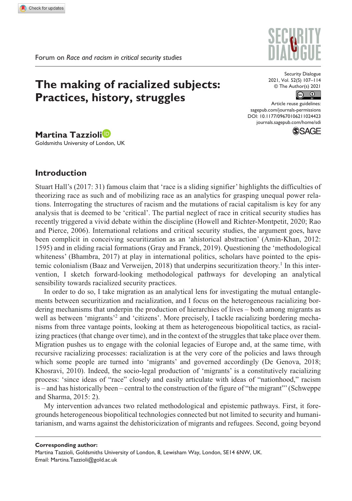# **The making of racialized subjects: Practices, history, struggles**

Security Dialogue 2021, Vol. 52(S) 107–114 © The Author(s) 2021



Article reuse guidelines: [sagepub.com/journals-permissions](https://uk.sagepub.com/en-gb/journals-permissions) DOI: 10.1177/09670106211024423 [journals.sagepub.com/home/sdi](https://journals.sagepub.com/home/sdi) **SSAGE** 

**Martina Tazzioli** Goldsmiths University of London, UK

# **Introduction**

Stuart Hall's (2017: 31) famous claim that 'race is a sliding signifier' highlights the difficulties of theorizing race as such and of mobilizing race as an analytics for grasping unequal power relations. Interrogating the structures of racism and the mutations of racial capitalism is key for any analysis that is deemed to be 'critical'. The partial neglect of race in critical security studies has recently triggered a vivid debate within the discipline (Howell and Richter-Montpetit, 2020; Rao and Pierce, 2006). International relations and critical security studies, the argument goes, have been complicit in conceiving securitization as an 'ahistorical abstraction' (Amin-Khan, 2012: 1595) and in eliding racial formations (Gray and Franck, 2019). Questioning the 'methodological whiteness' (Bhambra, 2017) at play in international politics, scholars have pointed to the epistemic colonialism (Baaz and Verweijen, 2018) that underpins securitization theory.<sup>1</sup> In this intervention, I sketch forward-looking methodological pathways for developing an analytical sensibility towards racialized security practices.

In order to do so, I take migration as an analytical lens for investigating the mutual entanglements between securitization and racialization, and I focus on the heterogeneous racializing bordering mechanisms that underpin the production of hierarchies of lives – both among migrants as well as between 'migrants'<sup>2</sup> and 'citizens'. More precisely, I tackle racializing bordering mechanisms from three vantage points, looking at them as heterogeneous biopolitical tactics, as racializing practices (that change over time), and in the context of the struggles that take place over them. Migration pushes us to engage with the colonial legacies of Europe and, at the same time, with recursive racializing processes: racialization is at the very core of the policies and laws through which some people are turned into 'migrants' and governed accordingly (De Genova, 2018; Khosravi, 2010). Indeed, the socio-legal production of 'migrants' is a constitutively racializing process: 'since ideas of "race" closely and easily articulate with ideas of "nationhood," racism is – and has historically been – central to the construction of the figure of "the migrant"' (Schweppe and Sharma, 2015: 2).

My intervention advances two related methodological and epistemic pathways. First, it foregrounds heterogeneous biopolitical technologies connected but not limited to security and humanitarianism, and warns against the dehistoricization of migrants and refugees. Second, going beyond

**Corresponding author:**

Martina Tazzioli, Goldsmiths University of London, 8, Lewisham Way, London, SE14 6NW, UK. Email: [Martina.Tazzioli@gold.ac.uk](mailto:Martina.Tazzioli@gold.ac.uk)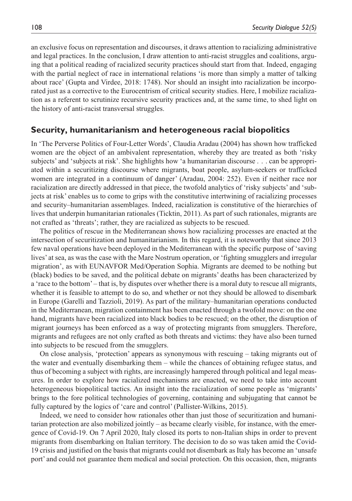an exclusive focus on representation and discourses, it draws attention to racializing administrative and legal practices. In the conclusion, I draw attention to anti-racist struggles and coalitions, arguing that a political reading of racialized security practices should start from that. Indeed, engaging with the partial neglect of race in international relations 'is more than simply a matter of talking about race' (Gupta and Virdee, 2018: 1748). Nor should an insight into racialization be incorporated just as a corrective to the Eurocentrism of critical security studies. Here, I mobilize racialization as a referent to scrutinize recursive security practices and, at the same time, to shed light on the history of anti-racist transversal struggles.

# **Security, humanitarianism and heterogeneous racial biopolitics**

In 'The Perverse Politics of Four-Letter Words', Claudia Aradau (2004) has shown how trafficked women are the object of an ambivalent representation, whereby they are treated as both 'risky subjects' and 'subjects at risk'. She highlights how 'a humanitarian discourse . . . can be appropriated within a securitizing discourse where migrants, boat people, asylum-seekers or trafficked women are integrated in a continuum of danger' (Aradau, 2004: 252). Even if neither race nor racialization are directly addressed in that piece, the twofold analytics of 'risky subjects' and 'subjects at risk' enables us to come to grips with the constitutive intertwining of racializing processes and security–humanitarian assemblages. Indeed, racialization is constitutive of the hierarchies of lives that underpin humanitarian rationales (Ticktin, 2011). As part of such rationales, migrants are not crafted as 'threats'; rather, they are racialized as subjects to be rescued.

The politics of rescue in the Mediterranean shows how racializing processes are enacted at the intersection of securitization and humanitarianism. In this regard, it is noteworthy that since 2013 few naval operations have been deployed in the Mediterranean with the specific purpose of 'saving lives' at sea, as was the case with the Mare Nostrum operation, or 'fighting smugglers and irregular migration', as with EUNAVFOR Med/Operation Sophia. Migrants are deemed to be nothing but (black) bodies to be saved, and the political debate on migrants' deaths has been characterized by a 'race to the bottom' – that is, by disputes over whether there is a moral duty to rescue all migrants, whether it is feasible to attempt to do so, and whether or not they should be allowed to disembark in Europe (Garelli and Tazzioli, 2019). As part of the military–humanitarian operations conducted in the Mediterranean, migration containment has been enacted through a twofold move: on the one hand, migrants have been racialized into black bodies to be rescued; on the other, the disruption of migrant journeys has been enforced as a way of protecting migrants from smugglers. Therefore, migrants and refugees are not only crafted as both threats and victims: they have also been turned into subjects to be rescued from the smugglers.

On close analysis, 'protection' appears as synonymous with rescuing – taking migrants out of the water and eventually disembarking them – while the chances of obtaining refugee status, and thus of becoming a subject with rights, are increasingly hampered through political and legal measures. In order to explore how racialized mechanisms are enacted, we need to take into account heterogeneous biopolitical tactics. An insight into the racialization of some people as 'migrants' brings to the fore political technologies of governing, containing and subjugating that cannot be fully captured by the logics of 'care and control' (Pallister-Wilkins, 2015).

Indeed, we need to consider how rationales other than just those of securitization and humanitarian protection are also mobilized jointly – as became clearly visible, for instance, with the emergence of Covid-19. On 7 April 2020, Italy closed its ports to non-Italian ships in order to prevent migrants from disembarking on Italian territory. The decision to do so was taken amid the Covid-19 crisis and justified on the basis that migrants could not disembark as Italy has become an 'unsafe port' and could not guarantee them medical and social protection. On this occasion, then, migrants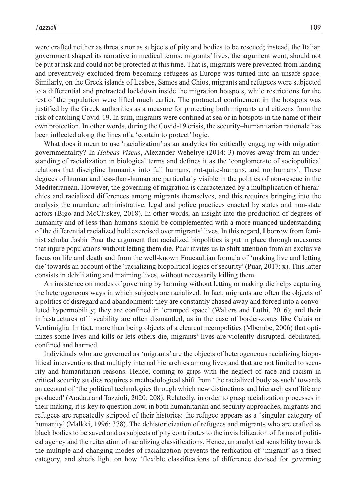were crafted neither as threats nor as subjects of pity and bodies to be rescued; instead, the Italian government shaped its narrative in medical terms: migrants' lives, the argument went, should not be put at risk and could not be protected at this time. That is, migrants were prevented from landing and preventively excluded from becoming refugees as Europe was turned into an unsafe space. Similarly, on the Greek islands of Lesbos, Samos and Chios, migrants and refugees were subjected to a differential and protracted lockdown inside the migration hotspots, while restrictions for the rest of the population were lifted much earlier. The protracted confinement in the hotspots was justified by the Greek authorities as a measure for protecting both migrants and citizens from the risk of catching Covid-19. In sum, migrants were confined at sea or in hotspots in the name of their own protection. In other words, during the Covid-19 crisis, the security–humanitarian rationale has been inflected along the lines of a 'contain to protect' logic.

What does it mean to use 'racialization' as an analytics for critically engaging with migration governmentality? In *Habeas Viscus*, Alexander Weheliye (2014: 3) moves away from an understanding of racialization in biological terms and defines it as the 'conglomerate of sociopolitical relations that discipline humanity into full humans, not-quite-humans, and nonhumans'. These degrees of human and less-than-human are particularly visible in the politics of non-rescue in the Mediterranean. However, the governing of migration is characterized by a multiplication of hierarchies and racialized differences among migrants themselves, and this requires bringing into the analysis the mundane administrative, legal and police practices enacted by states and non-state actors (Bigo and McCluskey, 2018). In other words, an insight into the production of degrees of humanity and of less-than-humans should be complemented with a more nuanced understanding of the differential racialized hold exercised over migrants' lives. In this regard, I borrow from feminist scholar Jasbir Puar the argument that racialized biopolitics is put in place through measures that injure populations without letting them die. Puar invites us to shift attention from an exclusive focus on life and death and from the well-known Foucaultian formula of 'making live and letting die' towards an account of the 'racializing biopolitical logics of security' (Puar, 2017: x). This latter consists in debilitating and maiming lives, without necessarily killing them.

An insistence on modes of governing by harming without letting or making die helps capturing the heterogeneous ways in which subjects are racialized. In fact, migrants are often the objects of a politics of disregard and abandonment: they are constantly chased away and forced into a convoluted hypermobility; they are confined in 'cramped space' (Walters and Luthi, 2016); and their infrastructures of liveability are often dismantled, as in the case of border-zones like Calais or Ventimiglia. In fact, more than being objects of a clearcut necropolitics (Mbembe, 2006) that optimizes some lives and kills or lets others die, migrants' lives are violently disrupted, debilitated, confined and harmed.

Individuals who are governed as 'migrants' are the objects of heterogeneous racializing biopolitical interventions that multiply internal hierarchies among lives and that are not limited to security and humanitarian reasons. Hence, coming to grips with the neglect of race and racism in critical security studies requires a methodological shift from 'the racialized body as such' towards an account of 'the political technologies through which new distinctions and hierarchies of life are produced' (Aradau and Tazzioli, 2020: 208). Relatedly, in order to grasp racialization processes in their making, it is key to question how, in both humanitarian and security approaches, migrants and refugees are repeatedly stripped of their histories: the refugee appears as a 'singular category of humanity' (Malkki, 1996: 378). The dehistoricization of refugees and migrants who are crafted as black bodies to be saved and as subjects of pity contributes to the invisibilization of forms of political agency and the reiteration of racializing classifications. Hence, an analytical sensibility towards the multiple and changing modes of racialization prevents the reification of 'migrant' as a fixed category, and sheds light on how 'flexible classifications of difference devised for governing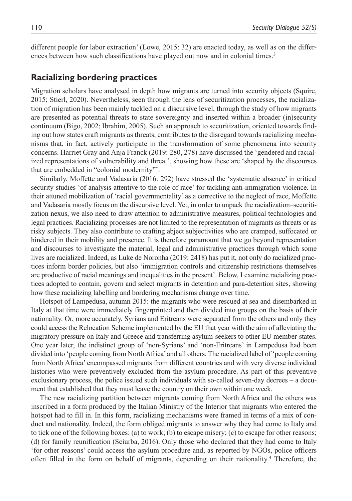different people for labor extraction' (Lowe, 2015: 32) are enacted today, as well as on the differences between how such classifications have played out now and in colonial times.<sup>3</sup>

# **Racializing bordering practices**

Migration scholars have analysed in depth how migrants are turned into security objects (Squire, 2015; Stierl, 2020). Nevertheless, seen through the lens of securitization processes, the racialization of migration has been mainly tackled on a discursive level, through the study of how migrants are presented as potential threats to state sovereignty and inserted within a broader (in)security continuum (Bigo, 2002; Ibrahim, 2005). Such an approach to securitization, oriented towards finding out how states craft migrants as threats, contributes to the disregard towards racializing mechanisms that, in fact, actively participate in the transformation of some phenomena into security concerns. Harriet Gray and Anja Franck (2019: 280, 278) have discussed the 'gendered and racialized representations of vulnerability and threat', showing how these are 'shaped by the discourses that are embedded in "colonial modernity"'.

Similarly, Moffette and Vadasaria (2016: 292) have stressed the 'systematic absence' in critical security studies 'of analysis attentive to the role of race' for tackling anti-immigration violence. In their attuned mobilization of 'racial governmentality' as a corrective to the neglect of race, Moffette and Vadasaria mostly focus on the discursive level. Yet, in order to unpack the racialization–securitization nexus, we also need to draw attention to administrative measures, political technologies and legal practices. Racializing processes are not limited to the representation of migrants as threats or as risky subjects. They also contribute to crafting abject subjectivities who are cramped, suffocated or hindered in their mobility and presence. It is therefore paramount that we go beyond representation and discourses to investigate the material, legal and administrative practices through which some lives are racialized. Indeed, as Luke de Noronha (2019: 2418) has put it, not only do racialized practices inform border policies, but also 'immigration controls and citizenship restrictions themselves are productive of racial meanings and inequalities in the present'. Below, I examine racializing practices adopted to contain, govern and select migrants in detention and para-detention sites, showing how these racializing labelling and bordering mechanisms change over time.

Hotspot of Lampedusa, autumn 2015: the migrants who were rescued at sea and disembarked in Italy at that time were immediately fingerprinted and then divided into groups on the basis of their nationality. Or, more accurately, Syrians and Eritreans were separated from the others and only they could access the Relocation Scheme implemented by the EU that year with the aim of alleviating the migratory pressure on Italy and Greece and transferring asylum-seekers to other EU member-states. One year later, the indistinct group of 'non-Syrians' and 'non-Eritreans' in Lampedusa had been divided into 'people coming from North Africa' and all others. The racialized label of 'people coming from North Africa' encompassed migrants from different countries and with very diverse individual histories who were preventively excluded from the asylum procedure. As part of this preventive exclusionary process, the police issued such individuals with so-called seven-day decrees  $-$  a document that established that they must leave the country on their own within one week.

The new racializing partition between migrants coming from North Africa and the others was inscribed in a form produced by the Italian Ministry of the Interior that migrants who entered the hotspot had to fill in. In this form, racializing mechanisms were framed in terms of a mix of conduct and nationality. Indeed, the form obliged migrants to answer why they had come to Italy and to tick one of the following boxes: (a) to work; (b) to escape misery; (c) to escape for other reasons; (d) for family reunification (Sciurba, 2016). Only those who declared that they had come to Italy 'for other reasons' could access the asylum procedure and, as reported by NGOs, police officers often filled in the form on behalf of migrants, depending on their nationality.<sup>4</sup> Therefore, the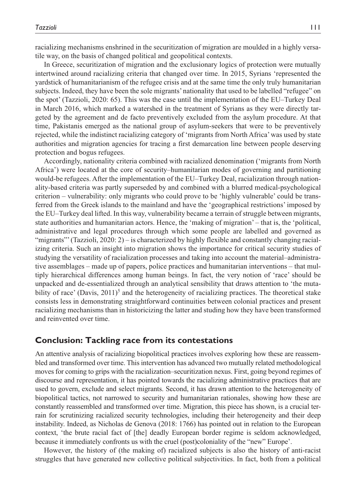racializing mechanisms enshrined in the securitization of migration are moulded in a highly versatile way, on the basis of changed political and geopolitical contexts.

In Greece, securitization of migration and the exclusionary logics of protection were mutually intertwined around racializing criteria that changed over time. In 2015, Syrians 'represented the yardstick of humanitarianism of the refugee crisis and at the same time the only truly humanitarian subjects. Indeed, they have been the sole migrants' nationality that used to be labelled "refugee" on the spot' (Tazzioli, 2020: 65). This was the case until the implementation of the EU–Turkey Deal in March 2016, which marked a watershed in the treatment of Syrians as they were directly targeted by the agreement and de facto preventively excluded from the asylum procedure. At that time, Pakistanis emerged as the national group of asylum-seekers that were to be preventively rejected, while the indistinct racializing category of 'migrants from North Africa' was used by state authorities and migration agencies for tracing a first demarcation line between people deserving protection and bogus refugees.

Accordingly, nationality criteria combined with racialized denomination ('migrants from North Africa') were located at the core of security–humanitarian modes of governing and partitioning would-be refugees. After the implementation of the EU–Turkey Deal, racialization through nationality-based criteria was partly superseded by and combined with a blurred medical-psychological criterion – vulnerability: only migrants who could prove to be 'highly vulnerable' could be transferred from the Greek islands to the mainland and have the 'geographical restrictions' imposed by the EU–Turkey deal lifted. In this way, vulnerability became a terrain of struggle between migrants, state authorities and humanitarian actors. Hence, the 'making of migration' – that is, the 'political, administrative and legal procedures through which some people are labelled and governed as "migrants"' (Tazzioli, 2020: 2) – is characterized by highly flexible and constantly changing racializing criteria. Such an insight into migration shows the importance for critical security studies of studying the versatility of racialization processes and taking into account the material–administrative assemblages – made up of papers, police practices and humanitarian interventions – that multiply hierarchical differences among human beings. In fact, the very notion of 'race' should be unpacked and de-essentialized through an analytical sensibility that draws attention to 'the mutability of race' (Davis,  $2011$ )<sup>5</sup> and the heterogeneity of racializing practices. The theoretical stake consists less in demonstrating straightforward continuities between colonial practices and present racializing mechanisms than in historicizing the latter and studing how they have been transformed and reinvented over time.

### **Conclusion: Tackling race from its contestations**

An attentive analysis of racializing biopolitical practices involves exploring how these are reassembled and transformed over time. This intervention has advanced two mutually related methodological moves for coming to grips with the racialization–securitization nexus. First, going beyond regimes of discourse and representation, it has pointed towards the racializing administrative practices that are used to govern, exclude and select migrants. Second, it has drawn attention to the heterogeneity of biopolitical tactics, not narrowed to security and humanitarian rationales, showing how these are constantly reassembled and transformed over time. Migration, this piece has shown, is a crucial terrain for scrutinizing racialized security technologies, including their heterogeneity and their deep instability. Indeed, as Nicholas de Genova (2018: 1766) has pointed out in relation to the European context, 'the brute racial fact of [the] deadly European border regime is seldom acknowledged, because it immediately confronts us with the cruel (post)coloniality of the "new" Europe'.

However, the history of (the making of) racialized subjects is also the history of anti-racist struggles that have generated new collective political subjectivities. In fact, both from a political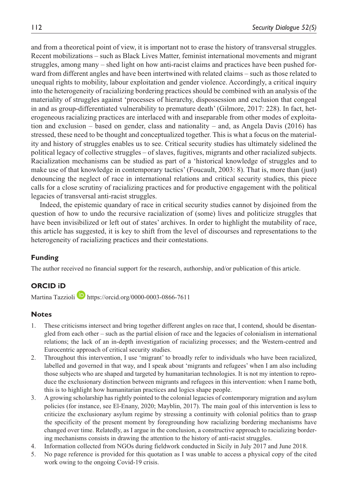and from a theoretical point of view, it is important not to erase the history of transversal struggles. Recent mobilizations – such as Black Lives Matter, feminist international movements and migrant struggles, among many – shed light on how anti-racist claims and practices have been pushed forward from different angles and have been intertwined with related claims – such as those related to unequal rights to mobility, labour exploitation and gender violence. Accordingly, a critical inquiry into the heterogeneity of racializing bordering practices should be combined with an analysis of the materiality of struggles against 'processes of hierarchy, dispossession and exclusion that congeal in and as group-differentiated vulnerability to premature death' (Gilmore, 2017: 228). In fact, heterogeneous racializing practices are interlaced with and inseparable from other modes of exploitation and exclusion – based on gender, class and nationality – and, as Angela Davis (2016) has stressed, these need to be thought and conceptualized together. This is what a focus on the materiality and history of struggles enables us to see. Critical security studies has ultimately sidelined the political legacy of collective struggles – of slaves, fugitives, migrants and other racialized subjects. Racialization mechanisms can be studied as part of a 'historical knowledge of struggles and to make use of that knowledge in contemporary tactics' (Foucault, 2003: 8). That is, more than (just) denouncing the neglect of race in international relations and critical security studies, this piece calls for a close scrutiny of racializing practices and for productive engagement with the political legacies of transversal anti-racist struggles.

Indeed, the epistemic quandary of race in critical security studies cannot by disjoined from the question of how to undo the recursive racialization of (some) lives and politicize struggles that have been invisibilized or left out of states' archives. In order to highlight the mutability of race, this article has suggested, it is key to shift from the level of discourses and representations to the heterogeneity of racializing practices and their contestations.

# **Funding**

The author received no financial support for the research, authorship, and/or publication of this article.

## **ORCID iD**

Martina Tazzioli **b** <https://orcid.org/0000-0003-0866-7611>

# **Notes**

- 1. These criticisms intersect and bring together different angles on race that, I contend, should be disentangled from each other – such as the partial elision of race and the legacies of colonialism in international relations; the lack of an in-depth investigation of racializing processes; and the Western-centred and Eurocentric approach of critical security studies.
- 2. Throughout this intervention, I use 'migrant' to broadly refer to individuals who have been racialized, labelled and governed in that way, and I speak about 'migrants and refugees' when I am also including those subjects who are shaped and targeted by humanitarian technologies. It is not my intention to reproduce the exclusionary distinction between migrants and refugees in this intervention: when I name both, this is to highlight how humanitarian practices and logics shape people.
- 3. A growing scholarship has rightly pointed to the colonial legacies of contemporary migration and asylum policies (for instance, see El-Enany, 2020; Mayblin, 2017). The main goal of this intervention is less to criticize the exclusionary asylum regime by stressing a continuity with colonial politics than to grasp the specificity of the present moment by foregrounding how racializing bordering mechanisms have changed over time. Relatedly, as I argue in the conclusion, a constructive approach to racializing bordering mechanisms consists in drawing the attention to the history of anti-racist struggles.
- 4. Information collected from NGOs during fieldwork conducted in Sicily in July 2017 and June 2018.
- 5. No page reference is provided for this quotation as I was unable to access a physical copy of the cited work owing to the ongoing Covid-19 crisis.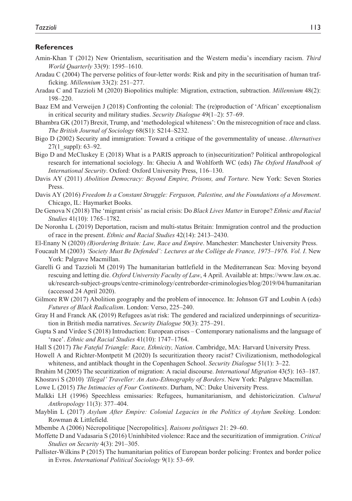#### **References**

- Amin-Khan T (2012) New Orientalism, securitisation and the Western media's incendiary racism. *Third World Quarterly* 33(9): 1595–1610.
- Aradau C (2004) The perverse politics of four-letter words: Risk and pity in the securitisation of human trafficking. *Millennium* 33(2): 251–277.
- Aradau C and Tazzioli M (2020) Biopolitics multiple: Migration, extraction, subtraction. *Millennium* 48(2): 198–220.
- Baaz EM and Verweijen J (2018) Confronting the colonial: The (re)production of 'African' exceptionalism in critical security and military studies. *Security Dialogue* 49(1–2): 57–69.
- Bhambra GK (2017) Brexit, Trump, and 'methodological whiteness': On the misrecognition of race and class. *The British Journal of Sociology* 68(S1): S214–S232.
- Bigo D (2002) Security and immigration: Toward a critique of the governmentality of unease. *Alternatives* 27(1 suppl):  $63-92$ .
- Bigo D and McCluskey E (2018) What is a PARIS approach to (in)securitization? Political anthropological research for international sociology. In: Gheciu A and Wohlforth WC (eds) *The Oxford Handbook of International Security*. Oxford: Oxford University Press, 116–130.
- Davis AY (2011) *Abolition Democracy: Beyond Empire, Prisons, and Torture*. New York: Seven Stories Press.
- Davis AY (2016) *Freedom Is a Constant Struggle: Ferguson, Palestine, and the Foundations of a Movement*. Chicago, IL: Haymarket Books.
- De Genova N (2018) The 'migrant crisis' as racial crisis: Do *Black Lives Matter* in Europe? *Ethnic and Racial Studies* 41(10): 1765–1782.
- De Noronha L (2019) Deportation, racism and multi-status Britain: Immigration control and the production of race in the present. *Ethnic and Racial Studies* 42(14): 2413–2430.
- El-Enany N (2020) *(B)ordering Britain: Law, Race and Empire*. Manchester: Manchester University Press.
- Foucault M (2003) *'Society Must Be Defended': Lectures at the Collège de France, 1975–1976. Vol. I*. New York: Palgrave Macmillan.
- Garelli G and Tazzioli M (2019) The humanitarian battlefield in the Mediterranean Sea: Moving beyond rescuing and letting die. *Oxford University Faculty of Law*, 4 April. Available at: [https://www.law.ox.ac.](https://www.law.ox.ac.uk/research-subject-groups/centre-criminology/centreborder-criminologies/blog/2019/04/humanitarian) [uk/research-subject-groups/centre-criminology/centreborder-criminologies/blog/2019/04/humanitarian](https://www.law.ox.ac.uk/research-subject-groups/centre-criminology/centreborder-criminologies/blog/2019/04/humanitarian) (accessed 24 April 2020).
- Gilmore RW (2017) Abolition geography and the problem of innocence. In: Johnson GT and Loubin A (eds) *Futures of Black Radicalism*. London: Verso, 225–240.
- Gray H and Franck AK (2019) Refugees as/at risk: The gendered and racialized underpinnings of securitization in British media narratives. *Security Dialogue* 50(3): 275–291.
- Gupta S and Virdee S (2018) Introduction: European crises Contemporary nationalisms and the language of 'race'. *Ethnic and Racial Studies* 41(10): 1747–1764.
- Hall S (2017) *The Fateful Triangle: Race, Ethnicity, Nation*. Cambridge, MA: Harvard University Press.

Howell A and Richter-Montpetit M (2020) Is securitization theory racist? Civilizationism, methodological whiteness, and antiblack thought in the Copenhagen School. *Security Dialogue* 51(1): 3–22.

- Ibrahim M (2005) The securitization of migration: A racial discourse. *International Migration* 43(5): 163–187.
- Khosravi S (2010) *'Illegal' Traveller: An Auto-Ethnography of Borders*. New York: Palgrave Macmillan.
- Lowe L (2015) *The Intimacies of Four Continents*. Durham, NC: Duke University Press.
- Malkki LH (1996) Speechless emissaries: Refugees, humanitarianism, and dehistoricization. *Cultural Anthropology* 11(3): 377–404.
- Mayblin L (2017) *Asylum After Empire: Colonial Legacies in the Politics of Asylum Seeking*. London: Rowman & Littlefield.
- Mbembe A (2006) Nécropolitique [Necropolitics]. *Raisons politiques* 21: 29–60.
- Moffette D and Vadasaria S (2016) Uninhibited violence: Race and the securitization of immigration. *Critical Studies on Security* 4(3): 291–305.
- Pallister-Wilkins P (2015) The humanitarian politics of European border policing: Frontex and border police in Evros. *International Political Sociology* 9(1): 53–69.